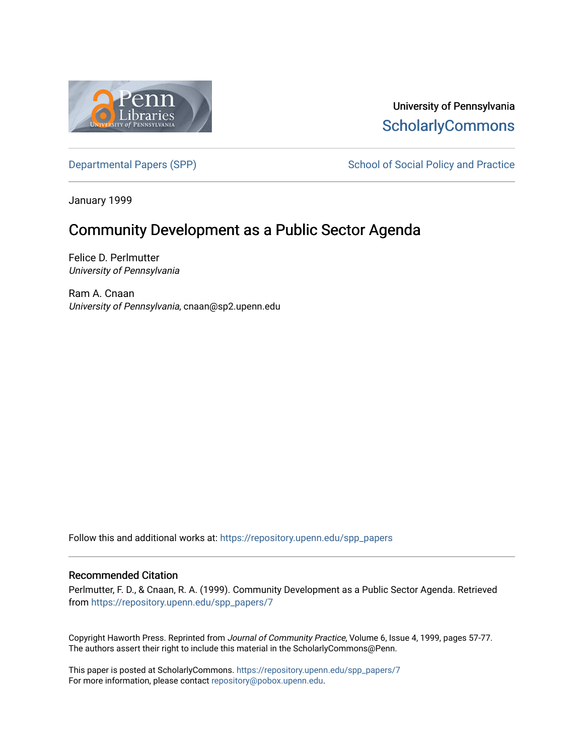

## University of Pennsylvania **ScholarlyCommons**

[Departmental Papers \(SPP\)](https://repository.upenn.edu/spp_papers) School of Social Policy and Practice

January 1999

# Community Development as a Public Sector Agenda

Felice D. Perlmutter University of Pennsylvania

Ram A. Cnaan University of Pennsylvania, cnaan@sp2.upenn.edu

Follow this and additional works at: [https://repository.upenn.edu/spp\\_papers](https://repository.upenn.edu/spp_papers?utm_source=repository.upenn.edu%2Fspp_papers%2F7&utm_medium=PDF&utm_campaign=PDFCoverPages) 

## Recommended Citation

Perlmutter, F. D., & Cnaan, R. A. (1999). Community Development as a Public Sector Agenda. Retrieved from [https://repository.upenn.edu/spp\\_papers/7](https://repository.upenn.edu/spp_papers/7?utm_source=repository.upenn.edu%2Fspp_papers%2F7&utm_medium=PDF&utm_campaign=PDFCoverPages) 

Copyright Haworth Press. Reprinted from Journal of Community Practice, Volume 6, Issue 4, 1999, pages 57-77. The authors assert their right to include this material in the ScholarlyCommons@Penn.

This paper is posted at ScholarlyCommons. [https://repository.upenn.edu/spp\\_papers/7](https://repository.upenn.edu/spp_papers/7)  For more information, please contact [repository@pobox.upenn.edu.](mailto:repository@pobox.upenn.edu)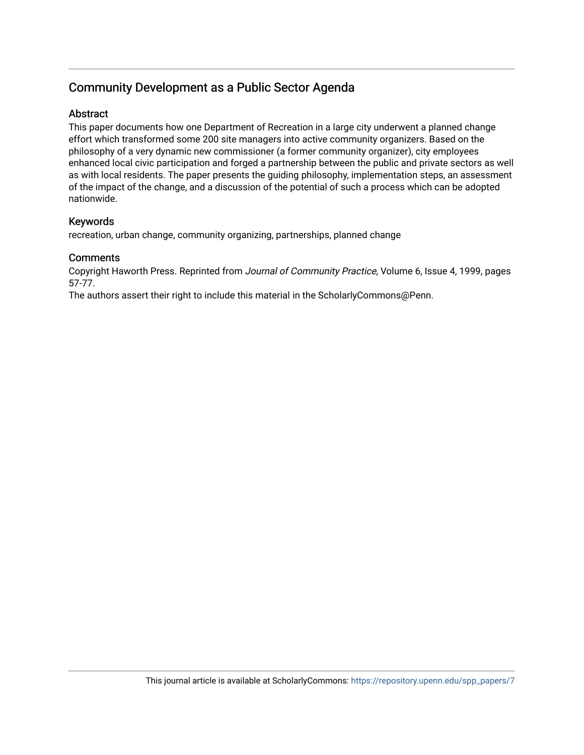## Community Development as a Public Sector Agenda

## **Abstract**

This paper documents how one Department of Recreation in a large city underwent a planned change effort which transformed some 200 site managers into active community organizers. Based on the philosophy of a very dynamic new commissioner (a former community organizer), city employees enhanced local civic participation and forged a partnership between the public and private sectors as well as with local residents. The paper presents the guiding philosophy, implementation steps, an assessment of the impact of the change, and a discussion of the potential of such a process which can be adopted nationwide.

## Keywords

recreation, urban change, community organizing, partnerships, planned change

## **Comments**

Copyright Haworth Press. Reprinted from Journal of Community Practice, Volume 6, Issue 4, 1999, pages 57-77.

The authors assert their right to include this material in the ScholarlyCommons@Penn.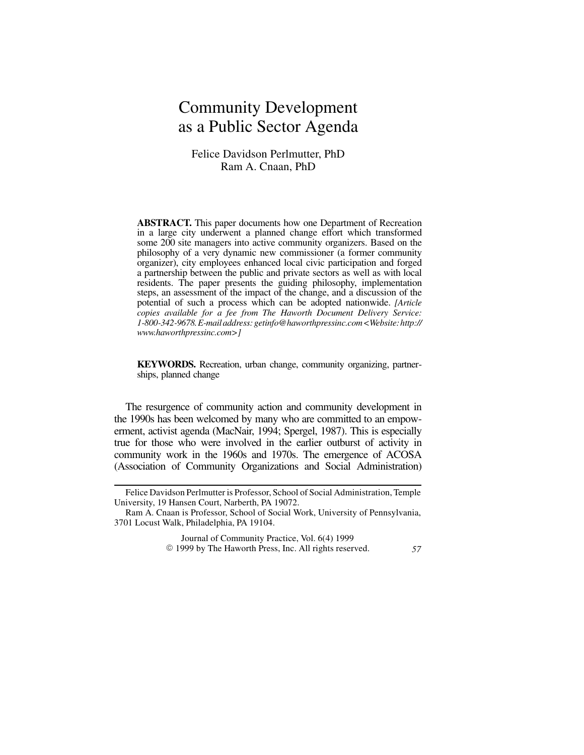# Community Development as a Public Sector Agenda

## Felice Davidson Perlmutter, PhD Ram A. Cnaan, PhD

**ABSTRACT.** This paper documents how one Department of Recreation in a large city underwent a planned change effort which transformed some 200 site managers into active community organizers. Based on the philosophy of a very dynamic new commissioner (a former community organizer), city employees enhanced local civic participation and forged a partnership between the public and private sectors as well as with local residents. The paper presents the guiding philosophy, implementation steps, an assessment of the impact of the change, and a discussion of the potential of such a process which can be adopted nationwide. *[Article copies available for a fee from The Haworth Document Delivery Service: 1-800-342-9678.E-mailaddress: getinfo@haworthpressinc.com<Website:http:// www.haworthpressinc.com>]*

**KEYWORDS.** Recreation, urban change, community organizing, partnerships, planned change

The resurgence of community action and community development in the 1990s has been welcomed by many who are committed to an empowerment, activist agenda (MacNair, 1994; Spergel, 1987). This is especially true for those who were involved in the earlier outburst of activity in community work in the 1960s and 1970s. The emergence of ACOSA (Association of Community Organizations and Social Administration)

Journal of Community Practice, Vol. 6(4) 1999 E 1999 by The Haworth Press, Inc. All rights reserved. *57*

Felice Davidson Perlmutter is Professor, School of Social Administration, Temple University, 19 Hansen Court, Narberth, PA 19072.

Ram A. Cnaan is Professor, School of Social Work, University of Pennsylvania, 3701 Locust Walk, Philadelphia, PA 19104.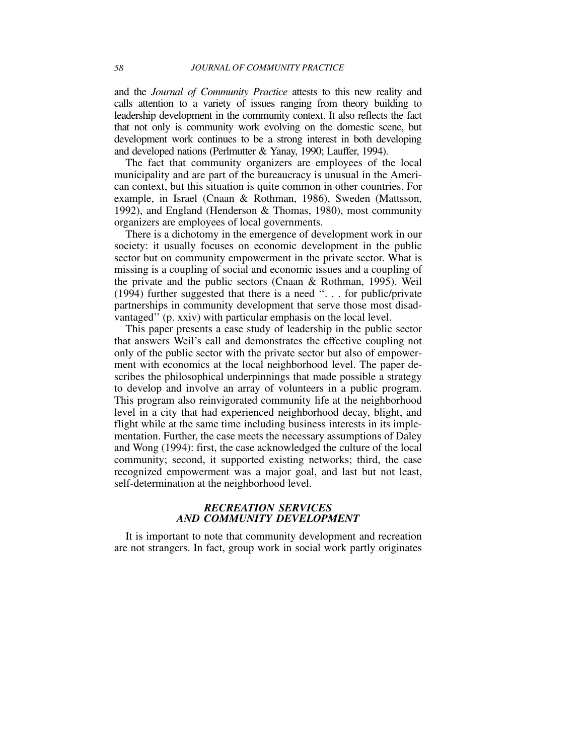and the *Journal of Community Practice* attests to this new reality and calls attention to a variety of issues ranging from theory building to leadership development in the community context. It also reflects the fact that not only is community work evolving on the domestic scene, but development work continues to be a strong interest in both developing and developed nations (Perlmutter & Yanay, 1990; Lauffer, 1994).

The fact that community organizers are employees of the local municipality and are part of the bureaucracy is unusual in the American context, but this situation is quite common in other countries. For example, in Israel (Cnaan & Rothman, 1986), Sweden (Mattsson, 1992), and England (Henderson & Thomas, 1980), most community organizers are employees of local governments.

There is a dichotomy in the emergence of development work in our society: it usually focuses on economic development in the public sector but on community empowerment in the private sector. What is missing is a coupling of social and economic issues and a coupling of the private and the public sectors (Cnaan & Rothman, 1995). Weil (1994) further suggested that there is a need ''. . . for public/private partnerships in community development that serve those most disadvantaged'' (p. xxiv) with particular emphasis on the local level.

This paper presents a case study of leadership in the public sector that answers Weil's call and demonstrates the effective coupling not only of the public sector with the private sector but also of empowerment with economics at the local neighborhood level. The paper describes the philosophical underpinnings that made possible a strategy to develop and involve an array of volunteers in a public program. This program also reinvigorated community life at the neighborhood level in a city that had experienced neighborhood decay, blight, and flight while at the same time including business interests in its implementation. Further, the case meets the necessary assumptions of Daley and Wong (1994): first, the case acknowledged the culture of the local community; second, it supported existing networks; third, the case recognized empowerment was a major goal, and last but not least, self-determination at the neighborhood level.

#### *RECREATION SERVICES AND COMMUNITY DEVELOPMENT*

It is important to note that community development and recreation are not strangers. In fact, group work in social work partly originates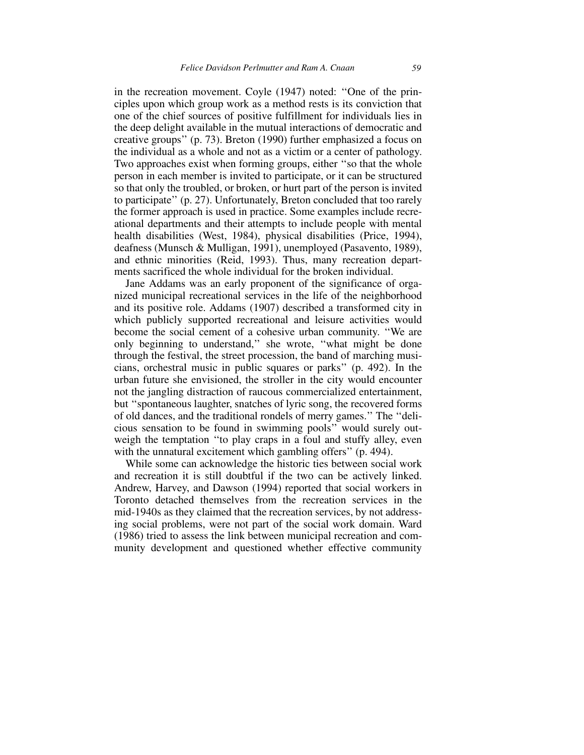in the recreation movement. Coyle (1947) noted: ''One of the principles upon which group work as a method rests is its conviction that one of the chief sources of positive fulfillment for individuals lies in the deep delight available in the mutual interactions of democratic and creative groups'' (p. 73). Breton (1990) further emphasized a focus on the individual as a whole and not as a victim or a center of pathology. Two approaches exist when forming groups, either ''so that the whole person in each member is invited to participate, or it can be structured so that only the troubled, or broken, or hurt part of the person is invited to participate'' (p. 27). Unfortunately, Breton concluded that too rarely the former approach is used in practice. Some examples include recreational departments and their attempts to include people with mental health disabilities (West, 1984), physical disabilities (Price, 1994), deafness (Munsch & Mulligan, 1991), unemployed (Pasavento, 1989), and ethnic minorities (Reid, 1993). Thus, many recreation departments sacrificed the whole individual for the broken individual.

Jane Addams was an early proponent of the significance of organized municipal recreational services in the life of the neighborhood and its positive role. Addams (1907) described a transformed city in which publicly supported recreational and leisure activities would become the social cement of a cohesive urban community. ''We are only beginning to understand,'' she wrote, ''what might be done through the festival, the street procession, the band of marching musicians, orchestral music in public squares or parks'' (p. 492). In the urban future she envisioned, the stroller in the city would encounter not the jangling distraction of raucous commercialized entertainment, but ''spontaneous laughter, snatches of lyric song, the recovered forms of old dances, and the traditional rondels of merry games.'' The ''delicious sensation to be found in swimming pools'' would surely outweigh the temptation ''to play craps in a foul and stuffy alley, even with the unnatural excitement which gambling offers" (p. 494).

While some can acknowledge the historic ties between social work and recreation it is still doubtful if the two can be actively linked. Andrew, Harvey, and Dawson (1994) reported that social workers in Toronto detached themselves from the recreation services in the mid-1940s as they claimed that the recreation services, by not addressing social problems, were not part of the social work domain. Ward (1986) tried to assess the link between municipal recreation and community development and questioned whether effective community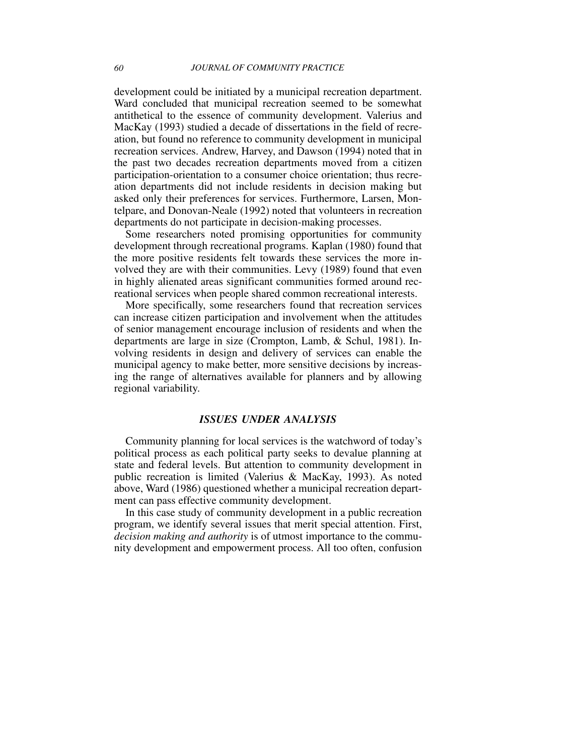development could be initiated by a municipal recreation department. Ward concluded that municipal recreation seemed to be somewhat antithetical to the essence of community development. Valerius and MacKay (1993) studied a decade of dissertations in the field of recreation, but found no reference to community development in municipal recreation services. Andrew, Harvey, and Dawson (1994) noted that in the past two decades recreation departments moved from a citizen participation-orientation to a consumer choice orientation; thus recreation departments did not include residents in decision making but asked only their preferences for services. Furthermore, Larsen, Montelpare, and Donovan-Neale (1992) noted that volunteers in recreation departments do not participate in decision-making processes.

Some researchers noted promising opportunities for community development through recreational programs. Kaplan (1980) found that the more positive residents felt towards these services the more involved they are with their communities. Levy (1989) found that even in highly alienated areas significant communities formed around recreational services when people shared common recreational interests.

More specifically, some researchers found that recreation services can increase citizen participation and involvement when the attitudes of senior management encourage inclusion of residents and when the departments are large in size (Crompton, Lamb, & Schul, 1981). Involving residents in design and delivery of services can enable the municipal agency to make better, more sensitive decisions by increasing the range of alternatives available for planners and by allowing regional variability.

#### *ISSUES UNDER ANALYSIS*

Community planning for local services is the watchword of today's political process as each political party seeks to devalue planning at state and federal levels. But attention to community development in public recreation is limited (Valerius & MacKay, 1993). As noted above, Ward (1986) questioned whether a municipal recreation department can pass effective community development.

In this case study of community development in a public recreation program, we identify several issues that merit special attention. First, *decision making and authority* is of utmost importance to the community development and empowerment process. All too often, confusion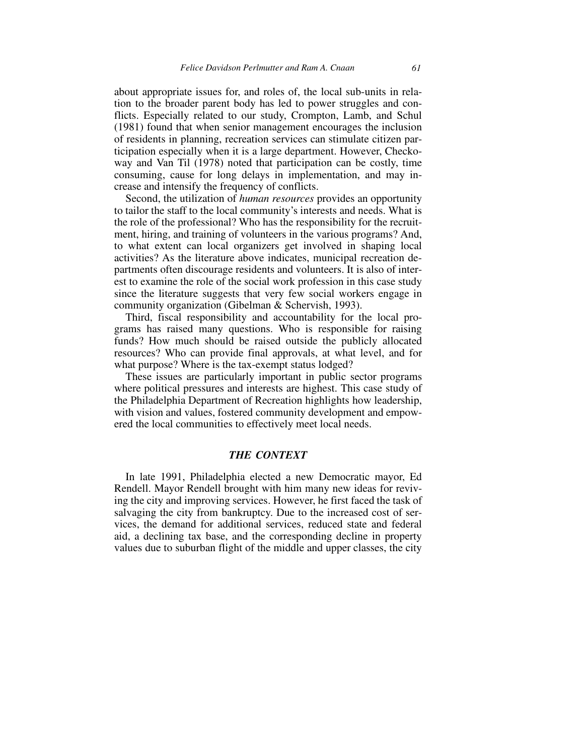about appropriate issues for, and roles of, the local sub-units in relation to the broader parent body has led to power struggles and conflicts. Especially related to our study, Crompton, Lamb, and Schul (1981) found that when senior management encourages the inclusion of residents in planning, recreation services can stimulate citizen participation especially when it is a large department. However, Checkoway and Van Til (1978) noted that participation can be costly, time consuming, cause for long delays in implementation, and may increase and intensify the frequency of conflicts.

Second, the utilization of *human resources* provides an opportunity to tailor the staff to the local community's interests and needs. What is the role of the professional? Who has the responsibility for the recruitment, hiring, and training of volunteers in the various programs? And, to what extent can local organizers get involved in shaping local activities? As the literature above indicates, municipal recreation departments often discourage residents and volunteers. It is also of interest to examine the role of the social work profession in this case study since the literature suggests that very few social workers engage in community organization (Gibelman & Schervish, 1993).

Third, fiscal responsibility and accountability for the local programs has raised many questions. Who is responsible for raising funds? How much should be raised outside the publicly allocated resources? Who can provide final approvals, at what level, and for what purpose? Where is the tax-exempt status lodged?

These issues are particularly important in public sector programs where political pressures and interests are highest. This case study of the Philadelphia Department of Recreation highlights how leadership, with vision and values, fostered community development and empowered the local communities to effectively meet local needs.

#### *THE CONTEXT*

In late 1991, Philadelphia elected a new Democratic mayor, Ed Rendell. Mayor Rendell brought with him many new ideas for reviving the city and improving services. However, he first faced the task of salvaging the city from bankruptcy. Due to the increased cost of services, the demand for additional services, reduced state and federal aid, a declining tax base, and the corresponding decline in property values due to suburban flight of the middle and upper classes, the city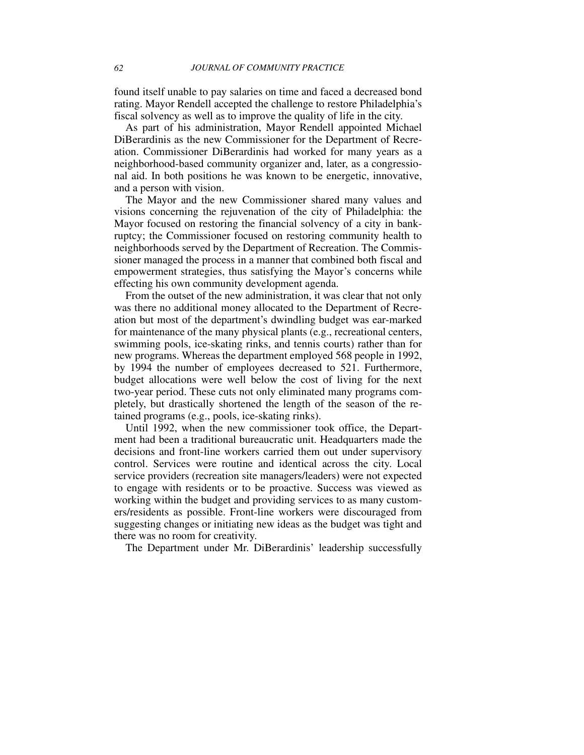found itself unable to pay salaries on time and faced a decreased bond rating. Mayor Rendell accepted the challenge to restore Philadelphia's fiscal solvency as well as to improve the quality of life in the city.

As part of his administration, Mayor Rendell appointed Michael DiBerardinis as the new Commissioner for the Department of Recreation. Commissioner DiBerardinis had worked for many years as a neighborhood-based community organizer and, later, as a congressional aid. In both positions he was known to be energetic, innovative, and a person with vision.

The Mayor and the new Commissioner shared many values and visions concerning the rejuvenation of the city of Philadelphia: the Mayor focused on restoring the financial solvency of a city in bankruptcy; the Commissioner focused on restoring community health to neighborhoods served by the Department of Recreation. The Commissioner managed the process in a manner that combined both fiscal and empowerment strategies, thus satisfying the Mayor's concerns while effecting his own community development agenda.

From the outset of the new administration, it was clear that not only was there no additional money allocated to the Department of Recreation but most of the department's dwindling budget was ear-marked for maintenance of the many physical plants (e.g., recreational centers, swimming pools, ice-skating rinks, and tennis courts) rather than for new programs. Whereas the department employed 568 people in 1992, by 1994 the number of employees decreased to 521. Furthermore, budget allocations were well below the cost of living for the next two-year period. These cuts not only eliminated many programs completely, but drastically shortened the length of the season of the retained programs (e.g., pools, ice-skating rinks).

Until 1992, when the new commissioner took office, the Department had been a traditional bureaucratic unit. Headquarters made the decisions and front-line workers carried them out under supervisory control. Services were routine and identical across the city. Local service providers (recreation site managers/leaders) were not expected to engage with residents or to be proactive. Success was viewed as working within the budget and providing services to as many customers/residents as possible. Front-line workers were discouraged from suggesting changes or initiating new ideas as the budget was tight and there was no room for creativity.

The Department under Mr. DiBerardinis' leadership successfully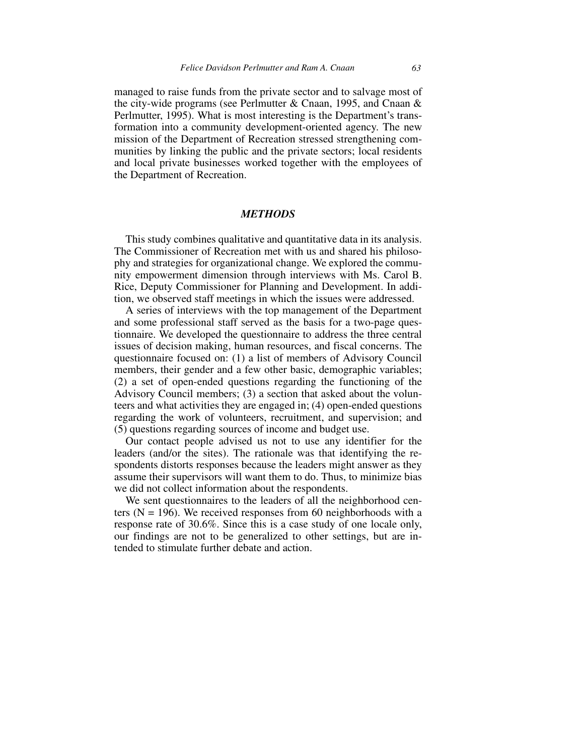managed to raise funds from the private sector and to salvage most of the city-wide programs (see Perlmutter & Cnaan, 1995, and Cnaan & Perlmutter, 1995). What is most interesting is the Department's transformation into a community development-oriented agency. The new mission of the Department of Recreation stressed strengthening communities by linking the public and the private sectors; local residents and local private businesses worked together with the employees of the Department of Recreation.

#### *METHODS*

This study combines qualitative and quantitative data in its analysis. The Commissioner of Recreation met with us and shared his philosophy and strategies for organizational change. We explored the community empowerment dimension through interviews with Ms. Carol B. Rice, Deputy Commissioner for Planning and Development. In addition, we observed staff meetings in which the issues were addressed.

A series of interviews with the top management of the Department and some professional staff served as the basis for a two-page questionnaire. We developed the questionnaire to address the three central issues of decision making, human resources, and fiscal concerns. The questionnaire focused on: (1) a list of members of Advisory Council members, their gender and a few other basic, demographic variables; (2) a set of open-ended questions regarding the functioning of the Advisory Council members; (3) a section that asked about the volunteers and what activities they are engaged in; (4) open-ended questions regarding the work of volunteers, recruitment, and supervision; and (5) questions regarding sources of income and budget use.

Our contact people advised us not to use any identifier for the leaders (and/or the sites). The rationale was that identifying the respondents distorts responses because the leaders might answer as they assume their supervisors will want them to do. Thus, to minimize bias we did not collect information about the respondents.

We sent questionnaires to the leaders of all the neighborhood centers  $(N = 196)$ . We received responses from 60 neighborhoods with a response rate of 30.6%. Since this is a case study of one locale only, our findings are not to be generalized to other settings, but are intended to stimulate further debate and action.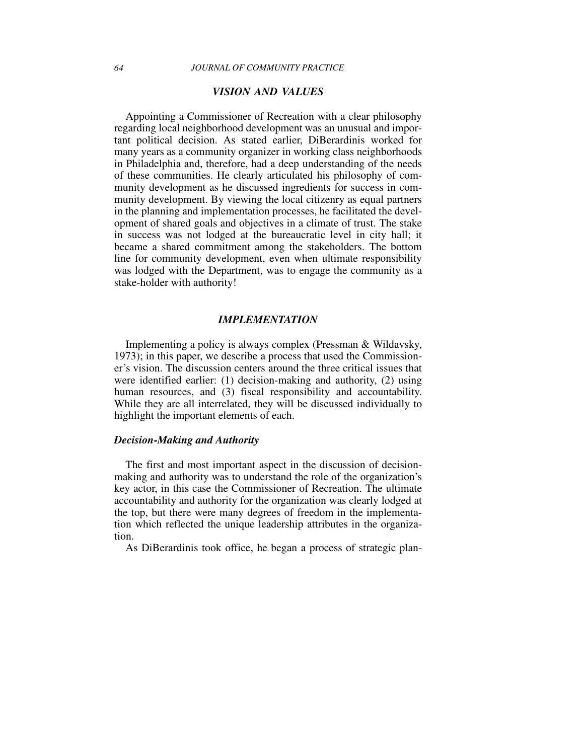## *VISION AND VALUES*

Appointing a Commissioner of Recreation with a clear philosophy regarding local neighborhood development was an unusual and important political decision. As stated earlier, DiBerardinis worked for many years as a community organizer in working class neighborhoods in Philadelphia and, therefore, had a deep understanding of the needs of these communities. He clearly articulated his philosophy of community development as he discussed ingredients for success in community development. By viewing the local citizenry as equal partners in the planning and implementation processes, he facilitated the development of shared goals and objectives in a climate of trust. The stake in success was not lodged at the bureaucratic level in city hall; it became a shared commitment among the stakeholders. The bottom line for community development, even when ultimate responsibility was lodged with the Department, was to engage the community as a stake-holder with authority!

#### *IMPLEMENTATION*

Implementing a policy is always complex (Pressman & Wildavsky, 1973); in this paper, we describe a process that used the Commissioner's vision. The discussion centers around the three critical issues that were identified earlier: (1) decision-making and authority, (2) using human resources, and (3) fiscal responsibility and accountability. While they are all interrelated, they will be discussed individually to highlight the important elements of each.

#### *Decision-Making and Authority*

The first and most important aspect in the discussion of decisionmaking and authority was to understand the role of the organization's key actor, in this case the Commissioner of Recreation. The ultimate accountability and authority for the organization was clearly lodged at the top, but there were many degrees of freedom in the implementation which reflected the unique leadership attributes in the organization.

As DiBerardinis took office, he began a process of strategic plan-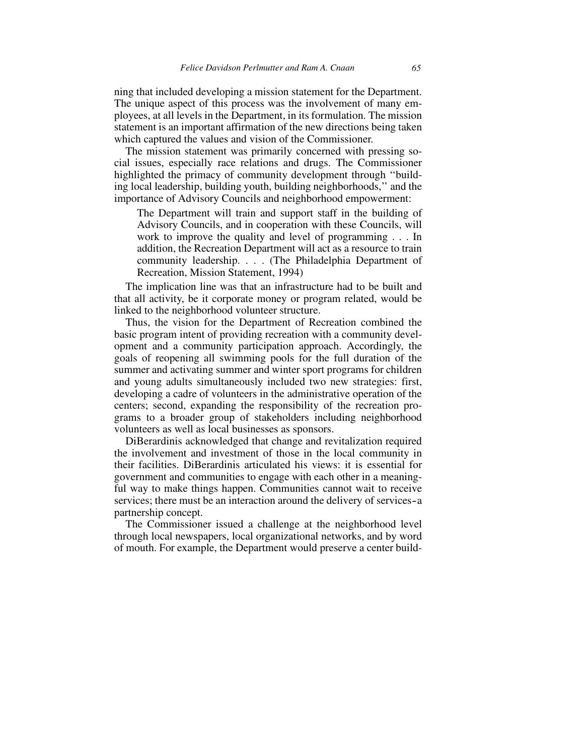ning that included developing a mission statement for the Department. The unique aspect of this process was the involvement of many employees, at all levels in the Department, in its formulation. The mission statement is an important affirmation of the new directions being taken which captured the values and vision of the Commissioner.

The mission statement was primarily concerned with pressing social issues, especially race relations and drugs. The Commissioner highlighted the primacy of community development through ''building local leadership, building youth, building neighborhoods,'' and the importance of Advisory Councils and neighborhood empowerment:

The Department will train and support staff in the building of Advisory Councils, and in cooperation with these Councils, will work to improve the quality and level of programming . . . In addition, the Recreation Department will act as a resource to train community leadership. . . . (The Philadelphia Department of Recreation, Mission Statement, 1994)

The implication line was that an infrastructure had to be built and that all activity, be it corporate money or program related, would be linked to the neighborhood volunteer structure.

Thus, the vision for the Department of Recreation combined the basic program intent of providing recreation with a community development and a community participation approach. Accordingly, the goals of reopening all swimming pools for the full duration of the summer and activating summer and winter sport programs for children and young adults simultaneously included two new strategies: first, developing a cadre of volunteers in the administrative operation of the centers; second, expanding the responsibility of the recreation programs to a broader group of stakeholders including neighborhood volunteers as well as local businesses as sponsors.

DiBerardinis acknowledged that change and revitalization required the involvement and investment of those in the local community in their facilities. DiBerardinis articulated his views: it is essential for government and communities to engage with each other in a meaningful way to make things happen. Communities cannot wait to receive services; there must be an interaction around the delivery of services-a partnership concept.

The Commissioner issued a challenge at the neighborhood level through local newspapers, local organizational networks, and by word of mouth. For example, the Department would preserve a center build-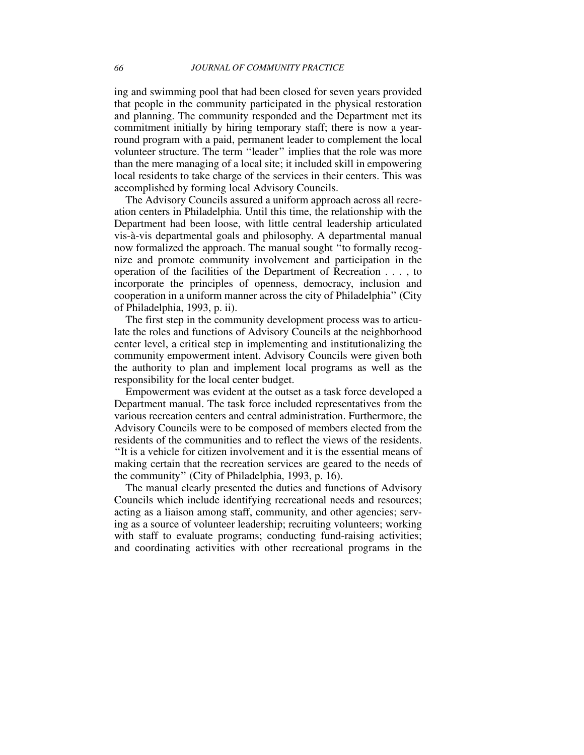ing and swimming pool that had been closed for seven years provided that people in the community participated in the physical restoration and planning. The community responded and the Department met its commitment initially by hiring temporary staff; there is now a yearround program with a paid, permanent leader to complement the local volunteer structure. The term ''leader'' implies that the role was more than the mere managing of a local site; it included skill in empowering local residents to take charge of the services in their centers. This was accomplished by forming local Advisory Councils.

The Advisory Councils assured a uniform approach across all recreation centers in Philadelphia. Until this time, the relationship with the Department had been loose, with little central leadership articulated vis-à-vis departmental goals and philosophy. A departmental manual now formalized the approach. The manual sought ''to formally recognize and promote community involvement and participation in the operation of the facilities of the Department of Recreation . . . , to incorporate the principles of openness, democracy, inclusion and cooperation in a uniform manner across the city of Philadelphia'' (City of Philadelphia, 1993, p. ii).

The first step in the community development process was to articulate the roles and functions of Advisory Councils at the neighborhood center level, a critical step in implementing and institutionalizing the community empowerment intent. Advisory Councils were given both the authority to plan and implement local programs as well as the responsibility for the local center budget.

Empowerment was evident at the outset as a task force developed a Department manual. The task force included representatives from the various recreation centers and central administration. Furthermore, the Advisory Councils were to be composed of members elected from the residents of the communities and to reflect the views of the residents. ''It is a vehicle for citizen involvement and it is the essential means of making certain that the recreation services are geared to the needs of the community'' (City of Philadelphia, 1993, p. 16).

The manual clearly presented the duties and functions of Advisory Councils which include identifying recreational needs and resources; acting as a liaison among staff, community, and other agencies; serving as a source of volunteer leadership; recruiting volunteers; working with staff to evaluate programs; conducting fund-raising activities; and coordinating activities with other recreational programs in the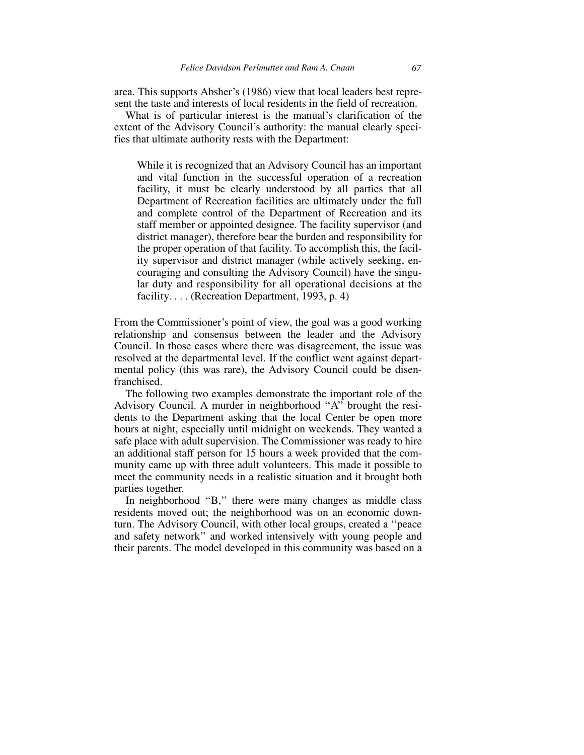area. This supports Absher's (1986) view that local leaders best represent the taste and interests of local residents in the field of recreation.

What is of particular interest is the manual's clarification of the extent of the Advisory Council's authority: the manual clearly specifies that ultimate authority rests with the Department:

While it is recognized that an Advisory Council has an important and vital function in the successful operation of a recreation facility, it must be clearly understood by all parties that all Department of Recreation facilities are ultimately under the full and complete control of the Department of Recreation and its staff member or appointed designee. The facility supervisor (and district manager), therefore bear the burden and responsibility for the proper operation of that facility. To accomplish this, the facility supervisor and district manager (while actively seeking, encouraging and consulting the Advisory Council) have the singular duty and responsibility for all operational decisions at the facility. . . . (Recreation Department, 1993, p. 4)

From the Commissioner's point of view, the goal was a good working relationship and consensus between the leader and the Advisory Council. In those cases where there was disagreement, the issue was resolved at the departmental level. If the conflict went against departmental policy (this was rare), the Advisory Council could be disenfranchised.

The following two examples demonstrate the important role of the Advisory Council. A murder in neighborhood ''A'' brought the residents to the Department asking that the local Center be open more hours at night, especially until midnight on weekends. They wanted a safe place with adult supervision. The Commissioner was ready to hire an additional staff person for 15 hours a week provided that the community came up with three adult volunteers. This made it possible to meet the community needs in a realistic situation and it brought both parties together.

In neighborhood "B," there were many changes as middle class residents moved out; the neighborhood was on an economic downturn. The Advisory Council, with other local groups, created a ''peace and safety network'' and worked intensively with young people and their parents. The model developed in this community was based on a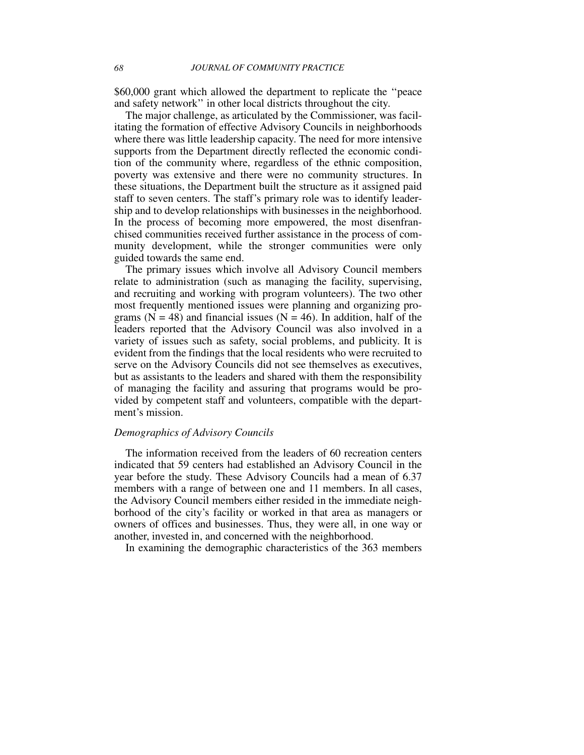\$60,000 grant which allowed the department to replicate the ''peace and safety network'' in other local districts throughout the city.

The major challenge, as articulated by the Commissioner, was facilitating the formation of effective Advisory Councils in neighborhoods where there was little leadership capacity. The need for more intensive supports from the Department directly reflected the economic condition of the community where, regardless of the ethnic composition, poverty was extensive and there were no community structures. In these situations, the Department built the structure as it assigned paid staff to seven centers. The staff's primary role was to identify leadership and to develop relationships with businesses in the neighborhood. In the process of becoming more empowered, the most disenfranchised communities received further assistance in the process of community development, while the stronger communities were only guided towards the same end.

The primary issues which involve all Advisory Council members relate to administration (such as managing the facility, supervising, and recruiting and working with program volunteers). The two other most frequently mentioned issues were planning and organizing programs ( $N = 48$ ) and financial issues ( $N = 46$ ). In addition, half of the leaders reported that the Advisory Council was also involved in a variety of issues such as safety, social problems, and publicity. It is evident from the findings that the local residents who were recruited to serve on the Advisory Councils did not see themselves as executives, but as assistants to the leaders and shared with them the responsibility of managing the facility and assuring that programs would be provided by competent staff and volunteers, compatible with the department's mission.

#### *Demographics of Advisory Councils*

The information received from the leaders of 60 recreation centers indicated that 59 centers had established an Advisory Council in the year before the study. These Advisory Councils had a mean of 6.37 members with a range of between one and 11 members. In all cases, the Advisory Council members either resided in the immediate neighborhood of the city's facility or worked in that area as managers or owners of offices and businesses. Thus, they were all, in one way or another, invested in, and concerned with the neighborhood.

In examining the demographic characteristics of the 363 members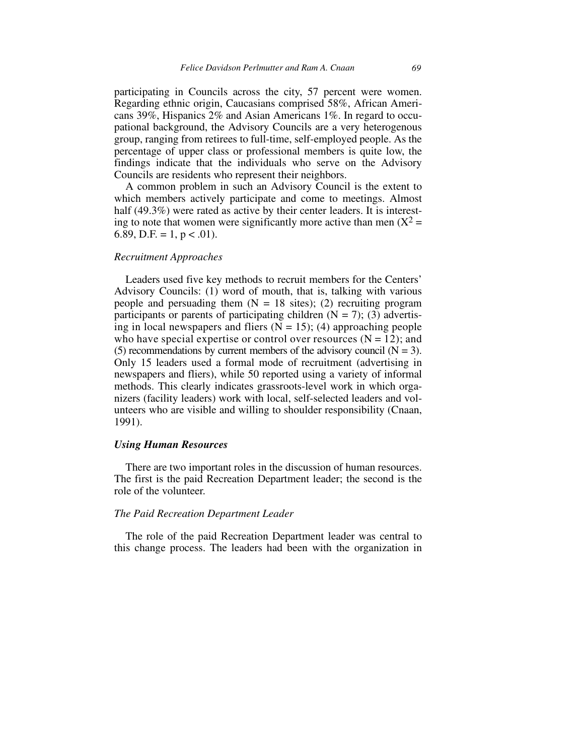participating in Councils across the city, 57 percent were women. Regarding ethnic origin, Caucasians comprised 58%, African Americans 39%, Hispanics 2% and Asian Americans 1%. In regard to occupational background, the Advisory Councils are a very heterogenous group, ranging from retirees to full-time, self-employed people. As the percentage of upper class or professional members is quite low, the findings indicate that the individuals who serve on the Advisory Councils are residents who represent their neighbors.

A common problem in such an Advisory Council is the extent to which members actively participate and come to meetings. Almost half (49.3%) were rated as active by their center leaders. It is interesting to note that women were significantly more active than men  $(X^2 =$ 6.89, D.F. = 1,  $p < .01$ ).

#### *Recruitment Approaches*

Leaders used five key methods to recruit members for the Centers' Advisory Councils: (1) word of mouth, that is, talking with various people and persuading them  $(N = 18 \text{ sites})$ ; (2) recruiting program participants or parents of participating children  $(N = 7)$ ; (3) advertising in local newspapers and fliers  $(N = 15)$ ; (4) approaching people who have special expertise or control over resources  $(N = 12)$ ; and (5) recommendations by current members of the advisory council ( $N = 3$ ). Only 15 leaders used a formal mode of recruitment (advertising in newspapers and fliers), while 50 reported using a variety of informal methods. This clearly indicates grassroots-level work in which organizers (facility leaders) work with local, self-selected leaders and volunteers who are visible and willing to shoulder responsibility (Cnaan, 1991).

#### *Using Human Resources*

There are two important roles in the discussion of human resources. The first is the paid Recreation Department leader; the second is the role of the volunteer.

#### *The Paid Recreation Department Leader*

The role of the paid Recreation Department leader was central to this change process. The leaders had been with the organization in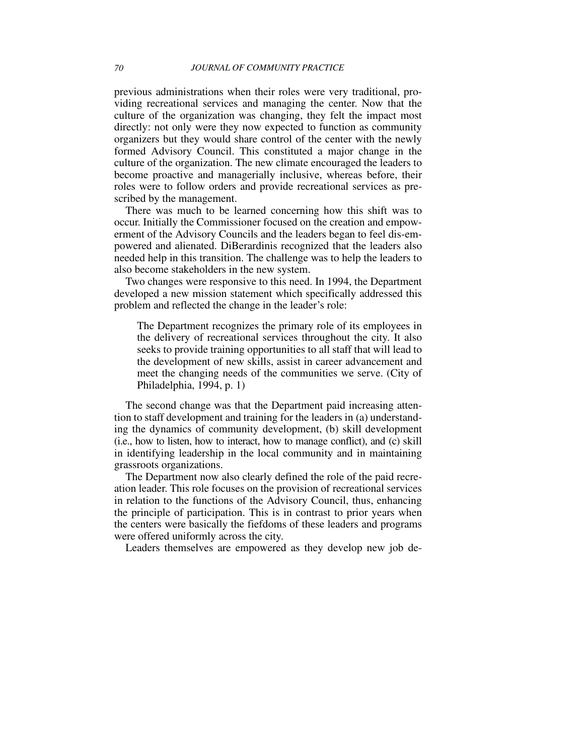previous administrations when their roles were very traditional, providing recreational services and managing the center. Now that the culture of the organization was changing, they felt the impact most directly: not only were they now expected to function as community organizers but they would share control of the center with the newly formed Advisory Council. This constituted a major change in the culture of the organization. The new climate encouraged the leaders to become proactive and managerially inclusive, whereas before, their roles were to follow orders and provide recreational services as prescribed by the management.

There was much to be learned concerning how this shift was to occur. Initially the Commissioner focused on the creation and empowerment of the Advisory Councils and the leaders began to feel dis-empowered and alienated. DiBerardinis recognized that the leaders also needed help in this transition. The challenge was to help the leaders to also become stakeholders in the new system.

Two changes were responsive to this need. In 1994, the Department developed a new mission statement which specifically addressed this problem and reflected the change in the leader's role:

The Department recognizes the primary role of its employees in the delivery of recreational services throughout the city. It also seeks to provide training opportunities to all staff that will lead to the development of new skills, assist in career advancement and meet the changing needs of the communities we serve. (City of Philadelphia, 1994, p. 1)

The second change was that the Department paid increasing attention to staff development and training for the leaders in (a) understanding the dynamics of community development, (b) skill development (i.e., how to listen, how to interact, how to manage conflict), and (c) skill in identifying leadership in the local community and in maintaining grassroots organizations.

The Department now also clearly defined the role of the paid recreation leader. This role focuses on the provision of recreational services in relation to the functions of the Advisory Council, thus, enhancing the principle of participation. This is in contrast to prior years when the centers were basically the fiefdoms of these leaders and programs were offered uniformly across the city.

Leaders themselves are empowered as they develop new job de-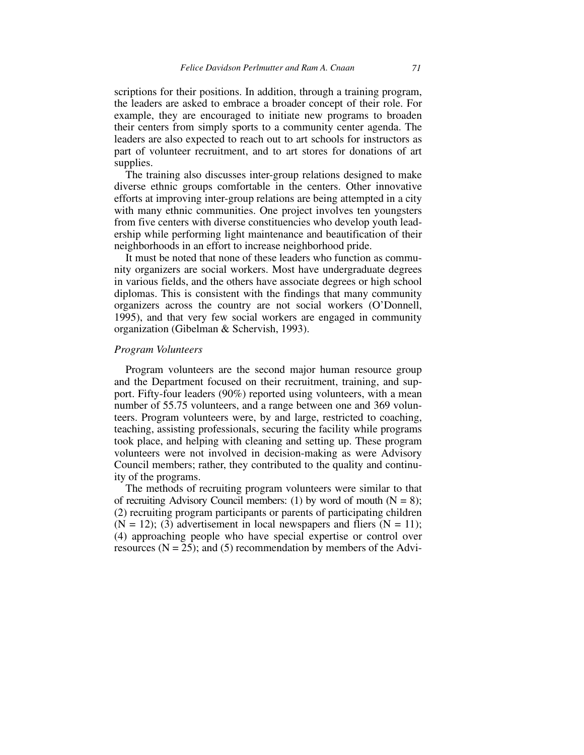scriptions for their positions. In addition, through a training program, the leaders are asked to embrace a broader concept of their role. For example, they are encouraged to initiate new programs to broaden their centers from simply sports to a community center agenda. The leaders are also expected to reach out to art schools for instructors as part of volunteer recruitment, and to art stores for donations of art supplies.

The training also discusses inter-group relations designed to make diverse ethnic groups comfortable in the centers. Other innovative efforts at improving inter-group relations are being attempted in a city with many ethnic communities. One project involves ten youngsters from five centers with diverse constituencies who develop youth leadership while performing light maintenance and beautification of their neighborhoods in an effort to increase neighborhood pride.

It must be noted that none of these leaders who function as community organizers are social workers. Most have undergraduate degrees in various fields, and the others have associate degrees or high school diplomas. This is consistent with the findings that many community organizers across the country are not social workers (O'Donnell, 1995), and that very few social workers are engaged in community organization (Gibelman & Schervish, 1993).

#### *Program Volunteers*

Program volunteers are the second major human resource group and the Department focused on their recruitment, training, and support. Fifty-four leaders (90%) reported using volunteers, with a mean number of 55.75 volunteers, and a range between one and 369 volunteers. Program volunteers were, by and large, restricted to coaching, teaching, assisting professionals, securing the facility while programs took place, and helping with cleaning and setting up. These program volunteers were not involved in decision-making as were Advisory Council members; rather, they contributed to the quality and continuity of the programs.

The methods of recruiting program volunteers were similar to that of recruiting Advisory Council members: (1) by word of mouth  $(N = 8)$ ; (2) recruiting program participants or parents of participating children  $(N = 12)$ ; (3) advertisement in local newspapers and fliers  $(N = 11)$ ; (4) approaching people who have special expertise or control over resources  $(N = 25)$ ; and  $(5)$  recommendation by members of the Advi-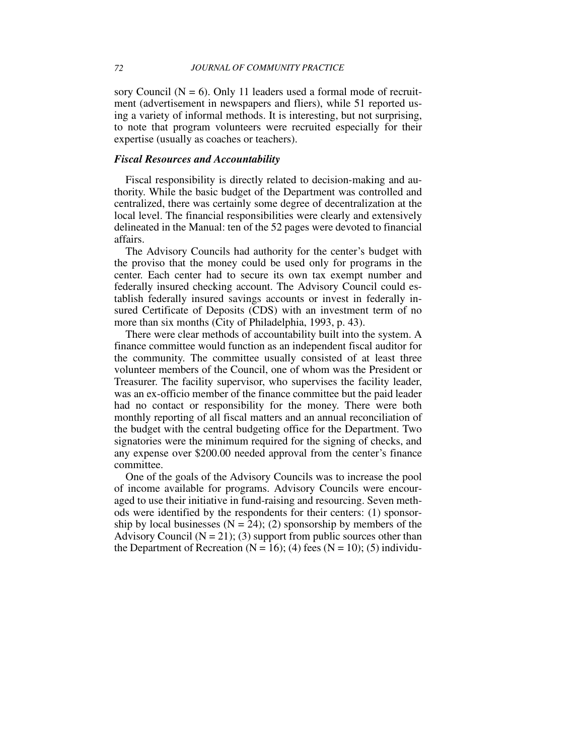sory Council ( $N = 6$ ). Only 11 leaders used a formal mode of recruitment (advertisement in newspapers and fliers), while 51 reported using a variety of informal methods. It is interesting, but not surprising, to note that program volunteers were recruited especially for their expertise (usually as coaches or teachers).

#### *Fiscal Resources and Accountability*

Fiscal responsibility is directly related to decision-making and authority. While the basic budget of the Department was controlled and centralized, there was certainly some degree of decentralization at the local level. The financial responsibilities were clearly and extensively delineated in the Manual: ten of the 52 pages were devoted to financial affairs.

The Advisory Councils had authority for the center's budget with the proviso that the money could be used only for programs in the center. Each center had to secure its own tax exempt number and federally insured checking account. The Advisory Council could establish federally insured savings accounts or invest in federally insured Certificate of Deposits (CDS) with an investment term of no more than six months (City of Philadelphia, 1993, p. 43).

There were clear methods of accountability built into the system. A finance committee would function as an independent fiscal auditor for the community. The committee usually consisted of at least three volunteer members of the Council, one of whom was the President or Treasurer. The facility supervisor, who supervises the facility leader, was an ex-officio member of the finance committee but the paid leader had no contact or responsibility for the money. There were both monthly reporting of all fiscal matters and an annual reconciliation of the budget with the central budgeting office for the Department. Two signatories were the minimum required for the signing of checks, and any expense over \$200.00 needed approval from the center's finance committee.

One of the goals of the Advisory Councils was to increase the pool of income available for programs. Advisory Councils were encouraged to use their initiative in fund-raising and resourcing. Seven methods were identified by the respondents for their centers: (1) sponsorship by local businesses ( $N = 24$ ); (2) sponsorship by members of the Advisory Council  $(N = 21)$ ; (3) support from public sources other than the Department of Recreation ( $N = 16$ ); (4) fees ( $N = 10$ ); (5) individu-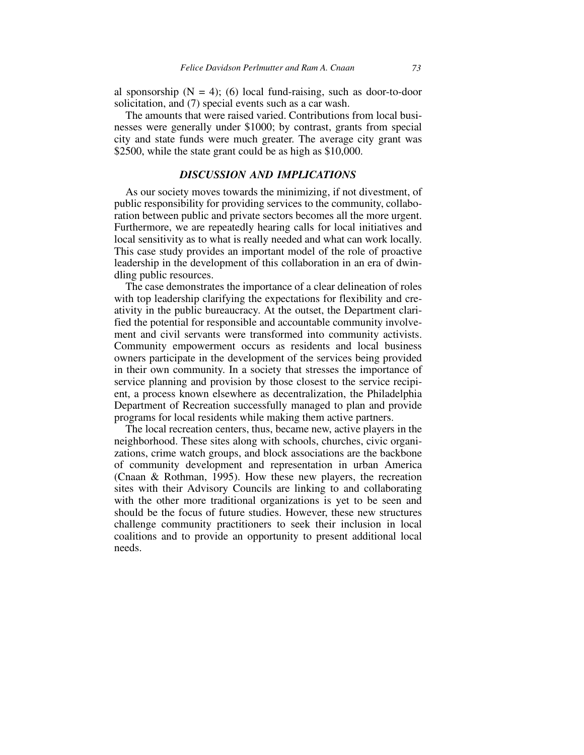al sponsorship  $(N = 4)$ ; (6) local fund-raising, such as door-to-door solicitation, and (7) special events such as a car wash.

The amounts that were raised varied. Contributions from local businesses were generally under \$1000; by contrast, grants from special city and state funds were much greater. The average city grant was \$2500, while the state grant could be as high as \$10,000.

#### *DISCUSSION AND IMPLICATIONS*

As our society moves towards the minimizing, if not divestment, of public responsibility for providing services to the community, collaboration between public and private sectors becomes all the more urgent. Furthermore, we are repeatedly hearing calls for local initiatives and local sensitivity as to what is really needed and what can work locally. This case study provides an important model of the role of proactive leadership in the development of this collaboration in an era of dwindling public resources.

The case demonstrates the importance of a clear delineation of roles with top leadership clarifying the expectations for flexibility and creativity in the public bureaucracy. At the outset, the Department clarified the potential for responsible and accountable community involvement and civil servants were transformed into community activists. Community empowerment occurs as residents and local business owners participate in the development of the services being provided in their own community. In a society that stresses the importance of service planning and provision by those closest to the service recipient, a process known elsewhere as decentralization, the Philadelphia Department of Recreation successfully managed to plan and provide programs for local residents while making them active partners.

The local recreation centers, thus, became new, active players in the neighborhood. These sites along with schools, churches, civic organizations, crime watch groups, and block associations are the backbone of community development and representation in urban America (Cnaan & Rothman, 1995). How these new players, the recreation sites with their Advisory Councils are linking to and collaborating with the other more traditional organizations is yet to be seen and should be the focus of future studies. However, these new structures challenge community practitioners to seek their inclusion in local coalitions and to provide an opportunity to present additional local needs.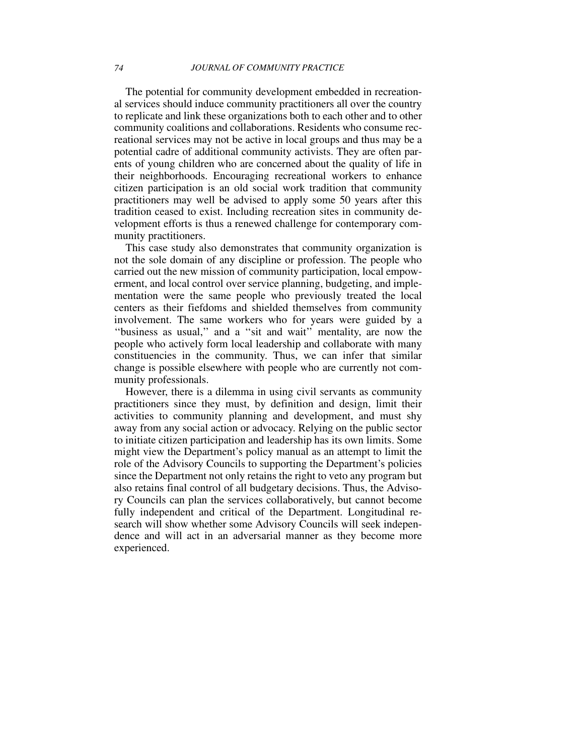The potential for community development embedded in recreational services should induce community practitioners all over the country to replicate and link these organizations both to each other and to other community coalitions and collaborations. Residents who consume recreational services may not be active in local groups and thus may be a potential cadre of additional community activists. They are often parents of young children who are concerned about the quality of life in their neighborhoods. Encouraging recreational workers to enhance citizen participation is an old social work tradition that community practitioners may well be advised to apply some 50 years after this tradition ceased to exist. Including recreation sites in community development efforts is thus a renewed challenge for contemporary community practitioners.

This case study also demonstrates that community organization is not the sole domain of any discipline or profession. The people who carried out the new mission of community participation, local empowerment, and local control over service planning, budgeting, and implementation were the same people who previously treated the local centers as their fiefdoms and shielded themselves from community involvement. The same workers who for years were guided by a ''business as usual,'' and a ''sit and wait'' mentality, are now the people who actively form local leadership and collaborate with many constituencies in the community. Thus, we can infer that similar change is possible elsewhere with people who are currently not community professionals.

However, there is a dilemma in using civil servants as community practitioners since they must, by definition and design, limit their activities to community planning and development, and must shy away from any social action or advocacy. Relying on the public sector to initiate citizen participation and leadership has its own limits. Some might view the Department's policy manual as an attempt to limit the role of the Advisory Councils to supporting the Department's policies since the Department not only retains the right to veto any program but also retains final control of all budgetary decisions. Thus, the Advisory Councils can plan the services collaboratively, but cannot become fully independent and critical of the Department. Longitudinal research will show whether some Advisory Councils will seek independence and will act in an adversarial manner as they become more experienced.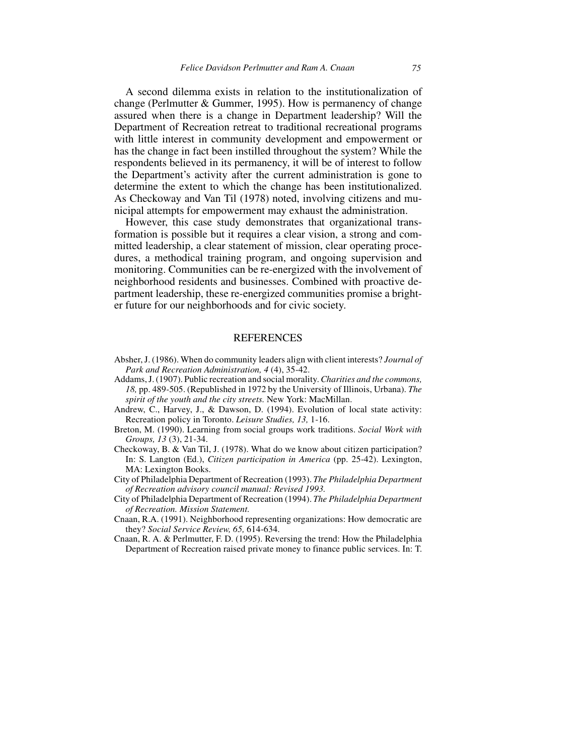A second dilemma exists in relation to the institutionalization of change (Perlmutter & Gummer, 1995). How is permanency of change assured when there is a change in Department leadership? Will the Department of Recreation retreat to traditional recreational programs with little interest in community development and empowerment or has the change in fact been instilled throughout the system? While the respondents believed in its permanency, it will be of interest to follow the Department's activity after the current administration is gone to determine the extent to which the change has been institutionalized. As Checkoway and Van Til (1978) noted, involving citizens and municipal attempts for empowerment may exhaust the administration.

However, this case study demonstrates that organizational transformation is possible but it requires a clear vision, a strong and committed leadership, a clear statement of mission, clear operating procedures, a methodical training program, and ongoing supervision and monitoring. Communities can be re-energized with the involvement of neighborhood residents and businesses. Combined with proactive department leadership, these re-energized communities promise a brighter future for our neighborhoods and for civic society.

#### **REFERENCES**

- Absher, J. (1986). When do community leaders align with client interests? *Journal of Park and Recreation Administration, 4* (4), 35-42.
- Addams, J. (1907). Public recreation and social morality. *Charities and the commons, 18,* pp. 489-505. (Republished in 1972 by the University of Illinois, Urbana). *The spirit of the youth and the city streets.* New York: MacMillan.
- Andrew, C., Harvey, J., & Dawson, D. (1994). Evolution of local state activity: Recreation policy in Toronto. *Leisure Studies, 13,* 1-16.
- Breton, M. (1990). Learning from social groups work traditions. *Social Work with Groups, 13* (3), 21-34.
- Checkoway, B. & Van Til, J. (1978). What do we know about citizen participation? In: S. Langton (Ed.), *Citizen participation in America* (pp. 25-42). Lexington, MA: Lexington Books.
- City of Philadelphia Department of Recreation (1993). *The Philadelphia Department of Recreation advisory council manual: Revised 1993.*
- City of Philadelphia Department of Recreation (1994). *The Philadelphia Department of Recreation. Mission Statement.*
- Cnaan, R.A. (1991). Neighborhood representing organizations: How democratic are they? *Social Service Review, 65,* 614-634.
- Cnaan, R. A. & Perlmutter, F. D. (1995). Reversing the trend: How the Philadelphia Department of Recreation raised private money to finance public services. In: T.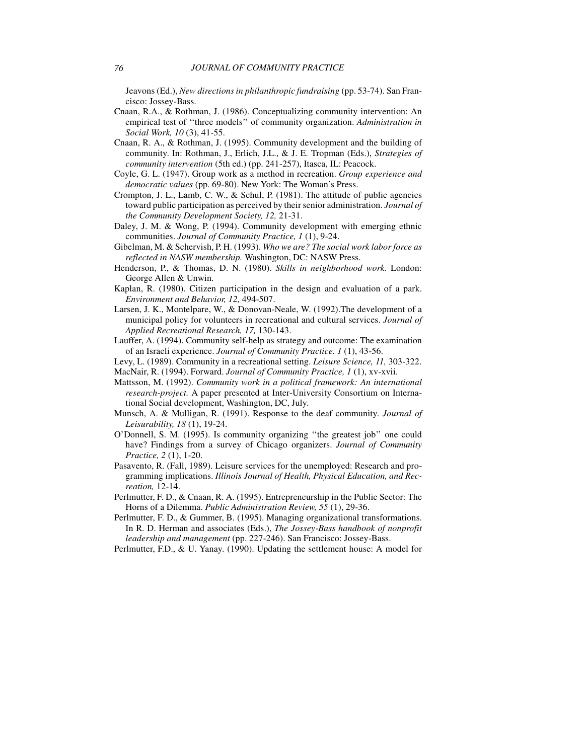Jeavons (Ed.), *New directions in philanthropic fundraising* (pp. 53-74). San Francisco: Jossey-Bass.

- Cnaan, R.A., & Rothman, J. (1986). Conceptualizing community intervention: An empirical test of ''three models'' of community organization. *Administration in Social Work, 10* (3), 41-55.
- Cnaan, R. A., & Rothman, J. (1995). Community development and the building of community. In: Rothman, J., Erlich, J.L., & J. E. Tropman (Eds.), *Strategies of community intervention* (5th ed.) (pp. 241-257), Itasca, IL: Peacock.
- Coyle, G. L. (1947). Group work as a method in recreation. *Group experience and democratic values* (pp. 69-80). New York: The Woman's Press.
- Crompton, J. L., Lamb, C. W., & Schul, P. (1981). The attitude of public agencies toward public participation as perceived by their senior administration. *Journal of the Community Development Society, 12,* 21-31.
- Daley, J. M. & Wong, P. (1994). Community development with emerging ethnic communities. *Journal of Community Practice, 1* (1), 9-24.
- Gibelman, M. & Schervish, P. H. (1993). *Who we are? The social work labor force as reflected in NASW membership.* Washington, DC: NASW Press.
- Henderson, P., & Thomas, D. N. (1980). *Skills in neighborhood work.* London: George Allen & Unwin.
- Kaplan, R. (1980). Citizen participation in the design and evaluation of a park. *Environment and Behavior, 12,* 494-507.
- Larsen, J. K., Montelpare, W., & Donovan-Neale, W. (1992).The development of a municipal policy for volunteers in recreational and cultural services. *Journal of Applied Recreational Research, 17,* 130-143.
- Lauffer, A. (1994). Community self-help as strategy and outcome: The examination of an Israeli experience. *Journal of Community Practice. 1* (1), 43-56.
- Levy, L. (1989). Community in a recreational setting. *Leisure Science, 11,* 303-322.
- MacNair, R. (1994). Forward. *Journal of Community Practice, 1* (1), xv-xvii.
- Mattsson, M. (1992). *Community work in a political framework: An international research-project.* A paper presented at Inter-University Consortium on International Social development, Washington, DC, July.
- Munsch, A. & Mulligan, R. (1991). Response to the deaf community. *Journal of Leisurability, 18* (1), 19-24.
- O'Donnell, S. M. (1995). Is community organizing ''the greatest job'' one could have? Findings from a survey of Chicago organizers. *Journal of Community Practice, 2* (1), 1-20.
- Pasavento, R. (Fall, 1989). Leisure services for the unemployed: Research and programming implications. *Illinois Journal of Health, Physical Education, and Recreation,* 12-14.
- Perlmutter, F. D., & Cnaan, R. A. (1995). Entrepreneurship in the Public Sector: The Horns of a Dilemma. *Public Administration Review, 55* (1), 29-36.
- Perlmutter, F. D., & Gummer, B. (1995). Managing organizational transformations. In R. D. Herman and associates (Eds.), *The Jossey-Bass handbook of nonprofit leadership and management* (pp. 227-246). San Francisco: Jossey-Bass.
- Perlmutter, F.D., & U. Yanay. (1990). Updating the settlement house: A model for